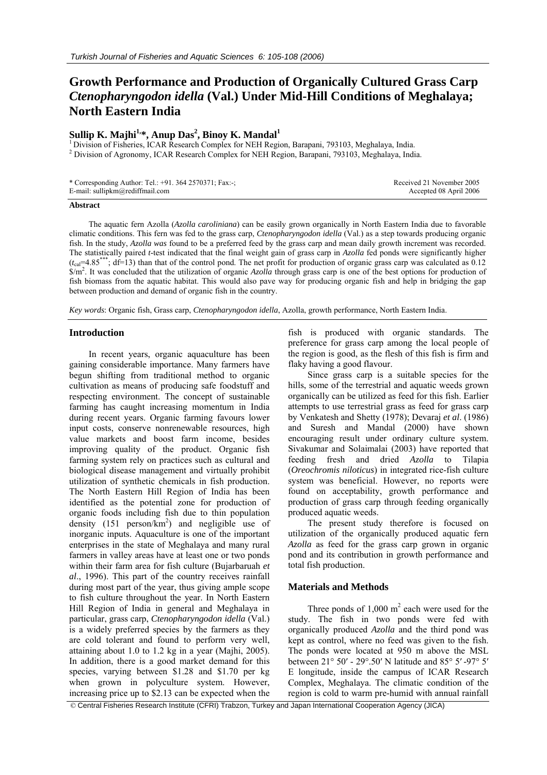# **Growth Performance and Production of Organically Cultured Grass Carp**  *Ctenopharyngodon idella* **(Val.) Under Mid-Hill Conditions of Meghalaya; North Eastern India**

# Sullip K. Majhi<sup>1,</sup>\*, Anup Das<sup>2</sup>, Binoy K. Mandal<sup>1</sup>

 $<sup>1</sup>$  Division of Fisheries, ICAR Research Complex for NEH Region, Barapani, 793103, Meghalaya, India.</sup> <sup>2</sup> Division of Agronomy, ICAR Research Complex for NEH Region, Barapani, 793103, Meghalaya, India.

| * Corresponding Author: Tel.: +91. 364 2570371; Fax:-; | Received 21 November 2005 |
|--------------------------------------------------------|---------------------------|
| E-mail: sullipkm@rediffmail.com                        | Accepted 08 April 2006    |

#### **Abstract**

The aquatic fern Azolla (*Azolla caroliniana*) can be easily grown organically in North Eastern India due to favorable climatic conditions. This fern was fed to the grass carp, *Ctenopharyngodon idella* (Val.) as a step towards producing organic fish. In the study, *Azolla was* found to be a preferred feed by the grass carp and mean daily growth increment was recorded. The statistically paired *t*-test indicated that the final weight gain of grass carp in *Azolla* fed ponds were significantly higher  $(t_{\text{cal}}=4.85***; df=13)$  than that of the control pond. The net profit for production of organic grass carp was calculated as  $\overline{0.12}$ \$/m2 . It was concluded that the utilization of organic *Azolla* through grass carp is one of the best options for production of fish biomass from the aquatic habitat. This would also pave way for producing organic fish and help in bridging the gap between production and demand of organic fish in the country.

*Key words*: Organic fish, Grass carp, *Ctenopharyngodon idella*, Azolla, growth performance, North Eastern India.

#### **Introduction**

In recent years, organic aquaculture has been gaining considerable importance. Many farmers have begun shifting from traditional method to organic cultivation as means of producing safe foodstuff and respecting environment. The concept of sustainable farming has caught increasing momentum in India during recent years. Organic farming favours lower input costs, conserve nonrenewable resources, high value markets and boost farm income, besides improving quality of the product. Organic fish farming system rely on practices such as cultural and biological disease management and virtually prohibit utilization of synthetic chemicals in fish production. The North Eastern Hill Region of India has been identified as the potential zone for production of organic foods including fish due to thin population density  $(151 \text{ person/km}^2)$  and negligible use of inorganic inputs. Aquaculture is one of the important enterprises in the state of Meghalaya and many rural farmers in valley areas have at least one or two ponds within their farm area for fish culture (Bujarbaruah *et al*., 1996). This part of the country receives rainfall during most part of the year, thus giving ample scope to fish culture throughout the year. In North Eastern Hill Region of India in general and Meghalaya in particular, grass carp, *Ctenopharyngodon idella* (Val.) is a widely preferred species by the farmers as they are cold tolerant and found to perform very well, attaining about 1.0 to 1.2 kg in a year (Majhi, 2005). In addition, there is a good market demand for this species, varying between \$1.28 and \$1.70 per kg when grown in polyculture system. However, increasing price up to \$2.13 can be expected when the

fish is produced with organic standards. The preference for grass carp among the local people of the region is good, as the flesh of this fish is firm and flaky having a good flavour.

Since grass carp is a suitable species for the hills, some of the terrestrial and aquatic weeds grown organically can be utilized as feed for this fish. Earlier attempts to use terrestrial grass as feed for grass carp by Venkatesh and Shetty (1978); Devaraj *et al*. (1986) and Suresh and Mandal (2000) have shown encouraging result under ordinary culture system. Sivakumar and Solaimalai (2003) have reported that feeding fresh and dried *Azolla* to Tilapia (*Oreochromis niloticus*) in integrated rice-fish culture system was beneficial. However, no reports were found on acceptability, growth performance and production of grass carp through feeding organically produced aquatic weeds.

The present study therefore is focused on utilization of the organically produced aquatic fern *Azolla* as feed for the grass carp grown in organic pond and its contribution in growth performance and total fish production.

## **Materials and Methods**

Three ponds of  $1,000 \text{ m}^2$  each were used for the study. The fish in two ponds were fed with organically produced *Azolla* and the third pond was kept as control, where no feed was given to the fish. The ponds were located at 950 m above the MSL between 21° 50′ - 29°.50′ N latitude and 85° 5′ -97° 5′ E longitude, inside the campus of ICAR Research Complex, Meghalaya. The climatic condition of the region is cold to warm pre-humid with annual rainfall

© Central Fisheries Research Institute (CFRI) Trabzon, Turkey and Japan International Cooperation Agency (JICA)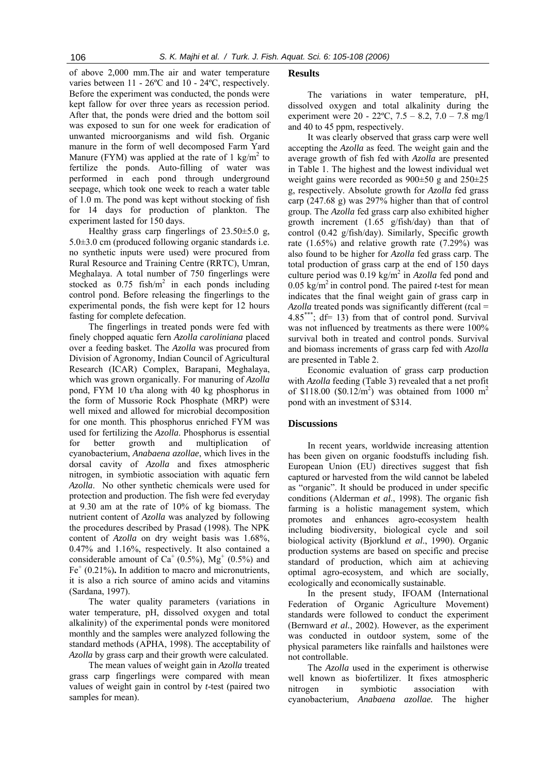of above 2,000 mm.The air and water temperature varies between 11 - 26ºC and 10 - 24ºC, respectively. Before the experiment was conducted, the ponds were kept fallow for over three years as recession period. After that, the ponds were dried and the bottom soil was exposed to sun for one week for eradication of unwanted microorganisms and wild fish. Organic manure in the form of well decomposed Farm Yard Manure (FYM) was applied at the rate of 1 kg/m<sup>2</sup> to fertilize the ponds. Auto-filling of water was performed in each pond through underground seepage, which took one week to reach a water table of 1.0 m. The pond was kept without stocking of fish for 14 days for production of plankton. The experiment lasted for 150 days.

Healthy grass carp fingerlings of 23.50±5.0 g, 5.0±3.0 cm (produced following organic standards i.e. no synthetic inputs were used) were procured from Rural Resource and Training Centre (RRTC), Umran, Meghalaya. A total number of 750 fingerlings were stocked as  $0.75$  fish/m<sup>2</sup> in each ponds including control pond. Before releasing the fingerlings to the experimental ponds, the fish were kept for 12 hours fasting for complete defecation.

The fingerlings in treated ponds were fed with finely chopped aquatic fern *Azolla caroliniana* placed over a feeding basket. The *Azolla* was procured from Division of Agronomy, Indian Council of Agricultural Research (ICAR) Complex, Barapani, Meghalaya, which was grown organically. For manuring of *Azolla* pond, FYM 10 t/ha along with 40 kg phosphorus in the form of Mussorie Rock Phosphate (MRP) were well mixed and allowed for microbial decomposition for one month. This phosphorus enriched FYM was used for fertilizing the *Azolla*. Phosphorus is essential for better growth and multiplication of cyanobacterium, *Anabaena azollae*, which lives in the dorsal cavity of *Azolla* and fixes atmospheric nitrogen, in symbiotic association with aquatic fern *Azolla*. No other synthetic chemicals were used for protection and production. The fish were fed everyday at 9.30 am at the rate of 10% of kg biomass. The nutrient content of *Azolla* was analyzed by following the procedures described by Prasad (1998). The NPK content of *Azolla* on dry weight basis was 1.68%, 0.47% and 1.16%, respectively. It also contained a considerable amount of  $Ca^+(0.5\%)$ , Mg<sup>+</sup> (0.5%) and  $Fe<sup>+</sup>$  (0.21%). In addition to macro and micronutrients, it is also a rich source of amino acids and vitamins (Sardana, 1997).

The water quality parameters (variations in water temperature, pH, dissolved oxygen and total alkalinity) of the experimental ponds were monitored monthly and the samples were analyzed following the standard methods (APHA, 1998). The acceptability of *Azolla* by grass carp and their growth were calculated.

The mean values of weight gain in *Azolla* treated grass carp fingerlings were compared with mean values of weight gain in control by *t*-test (paired two samples for mean).

#### **Results**

The variations in water temperature, pH, dissolved oxygen and total alkalinity during the experiment were  $20 - 22$ °C,  $7.5 - 8.2$ ,  $7.0 - 7.8$  mg/l and 40 to 45 ppm, respectively.

It was clearly observed that grass carp were well accepting the *Azolla* as feed. The weight gain and the average growth of fish fed with *Azolla* are presented in Table 1. The highest and the lowest individual wet weight gains were recorded as 900±50 g and 250±25 g, respectively. Absolute growth for *Azolla* fed grass carp (247.68 g) was 297% higher than that of control group. The *Azolla* fed grass carp also exhibited higher growth increment (1.65 g/fish/day) than that of control (0.42 g/fish/day). Similarly, Specific growth rate (1.65%) and relative growth rate (7.29%) was also found to be higher for *Azolla* fed grass carp. The total production of grass carp at the end of 150 days culture period was  $0.19 \text{ kg/m}^2$  in *Azolla* fed pond and 0.05 kg/m<sup>2</sup> in control pond. The paired *t*-test for mean indicates that the final weight gain of grass carp in *Azolla* treated ponds was significantly different (*t*cal =  $4.85***$ ; df= 13) from that of control pond. Survival was not influenced by treatments as there were 100% survival both in treated and control ponds. Survival and biomass increments of grass carp fed with *Azolla* are presented in Table 2.

Economic evaluation of grass carp production with *Azolla* feeding (Table 3) revealed that a net profit of \$118.00 (\$0.12/m<sup>2</sup>) was obtained from 1000 m<sup>2</sup> pond with an investment of \$314.

## **Discussions**

In recent years, worldwide increasing attention has been given on organic foodstuffs including fish. European Union (EU) directives suggest that fish captured or harvested from the wild cannot be labeled as "organic". It should be produced in under specific conditions (Alderman *et al*., 1998). The organic fish farming is a holistic management system, which promotes and enhances agro-ecosystem health including biodiversity, biological cycle and soil biological activity (Bjorklund *et al*., 1990). Organic production systems are based on specific and precise standard of production, which aim at achieving optimal agro-ecosystem, and which are socially, ecologically and economically sustainable.

In the present study, IFOAM (International Federation of Organic Agriculture Movement) standards were followed to conduct the experiment (Bernward *et al.*, 2002). However, as the experiment was conducted in outdoor system, some of the physical parameters like rainfalls and hailstones were not controllable.

The *Azolla* used in the experiment is otherwise well known as biofertilizer. It fixes atmospheric nitrogen in symbiotic association with cyanobacterium, *Anabaena azollae.* The higher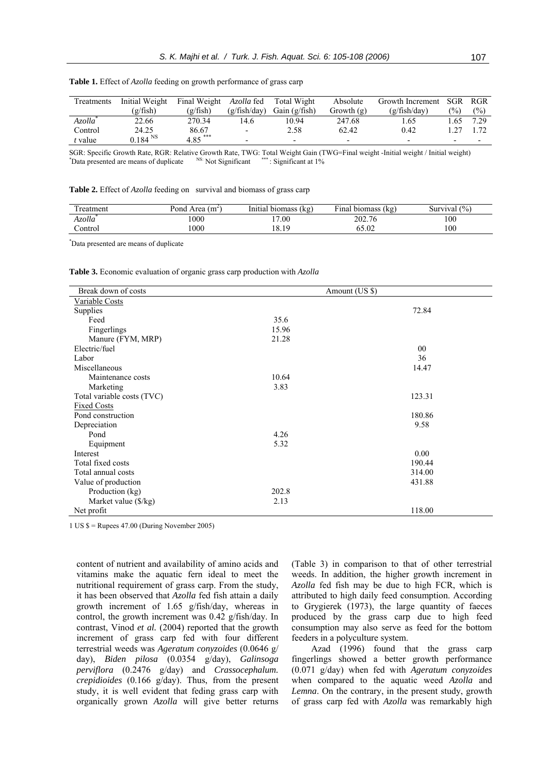| Treatments          | Initial Weight | Final Weight | Azolla fed               | Total Wight              | Absolute                 | Growth Increment         | SGR                      | RGR           |
|---------------------|----------------|--------------|--------------------------|--------------------------|--------------------------|--------------------------|--------------------------|---------------|
|                     | (g/fish)       | (g/fish)     | (g/fish/day)             | Gain $(g/fish)$          | Growth $(g)$             | (g/fish/day)             | $\frac{9}{0}$            | $\frac{6}{2}$ |
| Azolla <sup>"</sup> | 22.66          | 270.34       | 14.6                     | 10.94                    | 247.68                   | . . 65                   | .65                      | 7.29          |
| Control             | 24.25          | 86.67        | $\overline{\phantom{a}}$ | 2.58                     | 62.42                    | 0.42                     |                          |               |
| t value             | $0.184^{NSS}$  | $4.85***$    | $\overline{\phantom{0}}$ | $\overline{\phantom{0}}$ | $\overline{\phantom{0}}$ | $\overline{\phantom{0}}$ | $\overline{\phantom{0}}$ |               |

| Table 1. Effect of Azolla feeding on growth performance of grass carp |  |  |  |
|-----------------------------------------------------------------------|--|--|--|
|-----------------------------------------------------------------------|--|--|--|

SGR: Specific Growth Rate, RGR: Relative Growth Rate, TWG: Total Weight Gain (TWG=Final weight -Initial weight / Initial weight) \* \*Data presented are means of duplicate NS: Not Significant \*\*\*\*: Significant at 1%

|  |  | Table 2. Effect of Azolla feeding on survival and biomass of grass carp |  |
|--|--|-------------------------------------------------------------------------|--|
|--|--|-------------------------------------------------------------------------|--|

| reatment            | Pond<br>Area<br>(m~ | .<br>Initial biomass<br>(Kg) | $\sim$<br>≀ına<br>(kg<br>biomass | Survival (%) |
|---------------------|---------------------|------------------------------|----------------------------------|--------------|
| Azolla <sup>*</sup> | .000                | 17.00                        | 202.76                           | 100          |
| control             | .000                | 18.19                        | 65.02                            | 100          |

\* Data presented are means of duplicate

**Table 3.** Economic evaluation of organic grass carp production with *Azolla* 

| Break down of costs        |       |                |
|----------------------------|-------|----------------|
|                            |       | Amount (US \$) |
| <b>Variable Costs</b>      |       |                |
| Supplies                   |       | 72.84          |
| Feed                       | 35.6  |                |
| Fingerlings                | 15.96 |                |
| Manure (FYM, MRP)          | 21.28 |                |
| Electric/fuel              |       | 00             |
| Labor                      |       | 36             |
| Miscellaneous              |       | 14.47          |
| Maintenance costs          | 10.64 |                |
| Marketing                  | 3.83  |                |
| Total variable costs (TVC) |       | 123.31         |
| <b>Fixed Costs</b>         |       |                |
| Pond construction          |       | 180.86         |
| Depreciation               |       | 9.58           |
| Pond                       | 4.26  |                |
| Equipment                  | 5.32  |                |
| Interest                   |       | 0.00           |
| Total fixed costs          |       | 190.44         |
| Total annual costs         |       | 314.00         |
| Value of production        |       | 431.88         |
| Production (kg)            | 202.8 |                |
| Market value (\$/kg)       | 2.13  |                |
| Net profit                 |       | 118.00         |

1 US \$ = Rupees 47.00 (During November 2005)

content of nutrient and availability of amino acids and vitamins make the aquatic fern ideal to meet the nutritional requirement of grass carp. From the study, it has been observed that *Azolla* fed fish attain a daily growth increment of 1.65 g/fish/day, whereas in control, the growth increment was 0.42 g/fish/day. In contrast, Vinod *et al.* (2004) reported that the growth increment of grass carp fed with four different terrestrial weeds was *Ageratum conyzoides* (0.0646 g/ day), *Biden pilosa* (0.0354 g/day), *Galinsoga perviflora* (0.2476 g/day) and *Crassocephalum. crepidioides* (0.166 g/day). Thus, from the present study, it is well evident that feding grass carp with organically grown *Azolla* will give better returns

(Table 3) in comparison to that of other terrestrial weeds. In addition, the higher growth increment in *Azolla* fed fish may be due to high FCR, which is attributed to high daily feed consumption. According to Grygierek (1973), the large quantity of faeces produced by the grass carp due to high feed consumption may also serve as feed for the bottom feeders in a polyculture system.

Azad (1996) found that the grass carp fingerlings showed a better growth performance (0.071 g/day) when fed with *Ageratum conyzoides* when compared to the aquatic weed *Azolla* and *Lemna*. On the contrary, in the present study, growth of grass carp fed with *Azolla* was remarkably high